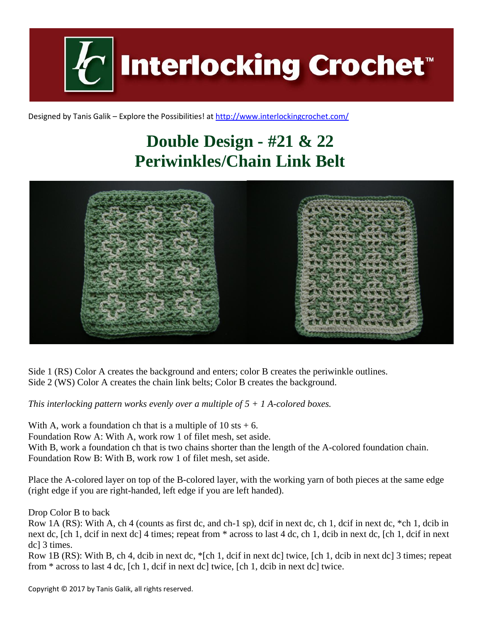

Designed by Tanis Galik – Explore the Possibilities! a[t http://www.interlockingcrochet.com/](http://www.interlockingcrochet.com/)

## **Double Design - #21 & 22 Periwinkles/Chain Link Belt**



Side 1 (RS) Color A creates the background and enters; color B creates the periwinkle outlines. Side 2 (WS) Color A creates the chain link belts; Color B creates the background.

*This interlocking pattern works evenly over a multiple of 5 + 1 A-colored boxes.*

With A, work a foundation ch that is a multiple of  $10 \text{ s}t + 6$ .

Foundation Row A: With A, work row 1 of filet mesh, set aside.

With B, work a foundation ch that is two chains shorter than the length of the A-colored foundation chain. Foundation Row B: With B, work row 1 of filet mesh, set aside.

Place the A-colored layer on top of the B-colored layer, with the working yarn of both pieces at the same edge (right edge if you are right-handed, left edge if you are left handed).

Drop Color B to back

Row 1A (RS): With A, ch 4 (counts as first dc, and ch-1 sp), dcif in next dc, ch 1, dcif in next dc, \*ch 1, dcib in next dc, [ch 1, dcif in next dc] 4 times; repeat from \* across to last 4 dc, ch 1, dcib in next dc, [ch 1, dcif in next dc] 3 times.

Row 1B (RS): With B, ch 4, dcib in next dc, \*[ch 1, dcif in next dc] twice, [ch 1, dcib in next dc] 3 times; repeat from \* across to last 4 dc, [ch 1, dcif in next dc] twice, [ch 1, dcib in next dc] twice.

Copyright © 2017 by Tanis Galik, all rights reserved.